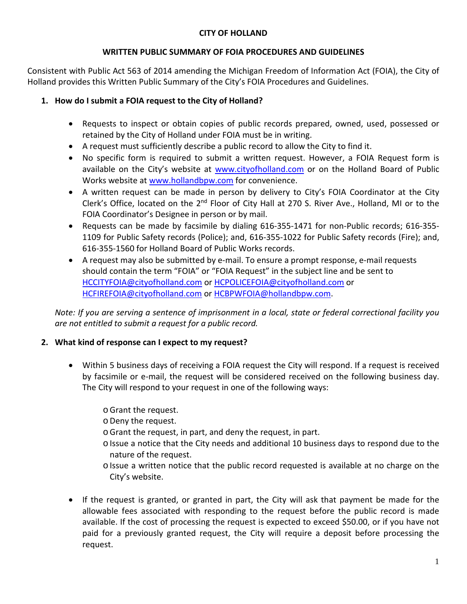#### **CITY OF HOLLAND**

#### **WRITTEN PUBLIC SUMMARY OF FOIA PROCEDURES AND GUIDELINES**

Consistent with Public Act 563 of 2014 amending the Michigan Freedom of Information Act (FOIA), the City of Holland provides this Written Public Summary of the City's FOIA Procedures and Guidelines.

# **1. How do I submit a FOIA request to the City of Holland?**

- Requests to inspect or obtain copies of public records prepared, owned, used, possessed or retained by the City of Holland under FOIA must be in writing.
- A request must sufficiently describe a public record to allow the City to find it.
- No specific form is required to submit a written request. However, a FOIA Request form is available on the City's website at [www.cityofholland.com](http://www.cityofholland.com/) or on the Holland Board of Public Works website at [www.hollandbpw.com](http://www.hollandbpw.com/) for convenience.
- A written request can be made in person by delivery to City's FOIA Coordinator at the City Clerk's Office, located on the 2<sup>nd</sup> Floor of City Hall at 270 S. River Ave., Holland, MI or to the FOIA Coordinator's Designee in person or by mail.
- Requests can be made by facsimile by dialing 616-355-1471 for non-Public records; 616-355- 1109 for Public Safety records (Police); and, 616-355-1022 for Public Safety records (Fire); and, 616-355-1560 for Holland Board of Public Works records.
- A request may also be submitted by e-mail. To ensure a prompt response, e-mail requests should contain the term "FOIA" or "FOIA Request" in the subject line and be sent to [HCCITYFOIA@cityofholland.com](mailto:HCCITYFOIA@cityofholland.com) or [HCPOLICEFOIA@cityofholland.com](mailto:HCPOLICEFOIA@cityofholland.com) or [HCFIREFOIA@cityofholland.com](mailto:HCFIREFOIA@cityofholland.com) o[r HCBPWFOIA@hollandbpw.com.](mailto:HCBPWFOIA@hollandbpw.com)

*Note: If you are serving a sentence of imprisonment in a local, state or federal correctional facility you are not entitled to submit a request for a public record.*

# **2. What kind of response can I expect to my request?**

- Within 5 business days of receiving a FOIA request the City will respond. If a request is received by facsimile or e-mail, the request will be considered received on the following business day. The City will respond to your request in one of the following ways:
	- oGrant the request.

oDeny the request.

- oGrant the request, in part, and deny the request, in part.
- o Issue a notice that the City needs and additional 10 business days to respond due to the nature of the request.
- o Issue a written notice that the public record requested is available at no charge on the City's website.
- If the request is granted, or granted in part, the City will ask that payment be made for the allowable fees associated with responding to the request before the public record is made available. If the cost of processing the request is expected to exceed \$50.00, or if you have not paid for a previously granted request, the City will require a deposit before processing the request.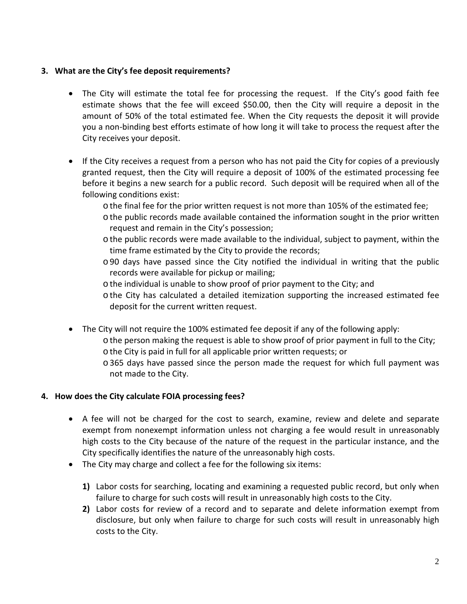## **3. What are the City's fee deposit requirements?**

- The City will estimate the total fee for processing the request. If the City's good faith fee estimate shows that the fee will exceed \$50.00, then the City will require a deposit in the amount of 50% of the total estimated fee. When the City requests the deposit it will provide you a non-binding best efforts estimate of how long it will take to process the request after the City receives your deposit.
- If the City receives a request from a person who has not paid the City for copies of a previously granted request, then the City will require a deposit of 100% of the estimated processing fee before it begins a new search for a public record. Such deposit will be required when all of the following conditions exist:
	- othe final fee for the prior written request is not more than 105% of the estimated fee;
	- othe public records made available contained the information sought in the prior written request and remain in the City's possession;
	- o the public records were made available to the individual, subject to payment, within the time frame estimated by the City to provide the records;
	- o90 days have passed since the City notified the individual in writing that the public records were available for pickup or mailing;
	- othe individual is unable to show proof of prior payment to the City; and
	- o the City has calculated a detailed itemization supporting the increased estimated fee deposit for the current written request.
- The City will not require the 100% estimated fee deposit if any of the following apply:
	- othe person making the request is able to show proof of prior payment in full to the City; othe City is paid in full for all applicable prior written requests; or
		- o365 days have passed since the person made the request for which full payment was not made to the City.

## **4. How does the City calculate FOIA processing fees?**

- A fee will not be charged for the cost to search, examine, review and delete and separate exempt from nonexempt information unless not charging a fee would result in unreasonably high costs to the City because of the nature of the request in the particular instance, and the City specifically identifies the nature of the unreasonably high costs.
- The City may charge and collect a fee for the following six items:
	- **1)** Labor costs for searching, locating and examining a requested public record, but only when failure to charge for such costs will result in unreasonably high costs to the City.
	- **2)** Labor costs for review of a record and to separate and delete information exempt from disclosure, but only when failure to charge for such costs will result in unreasonably high costs to the City.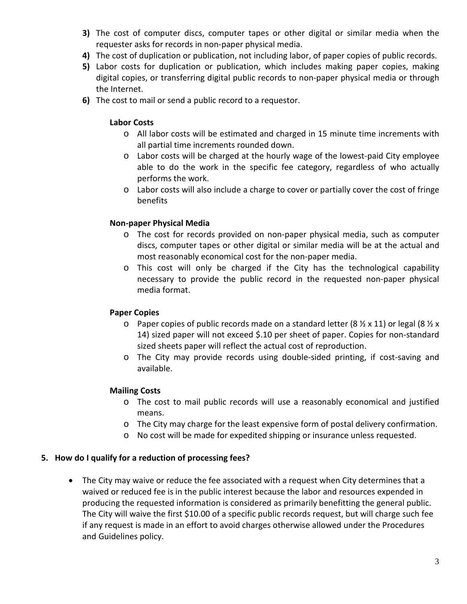- **3)** The cost of computer discs, computer tapes or other digital or similar media when the requester asks for records in non-paper physical media.
- **4)** The cost of duplication or publication, not including labor, of paper copies of public records.
- **5)** Labor costs for duplication or publication, which includes making paper copies, making digital copies, or transferring digital public records to non-paper physical media or through the Internet.
- **6)** The cost to mail or send a public record to a requestor.

## **Labor Costs**

- o All labor costs will be estimated and charged in 15 minute time increments with all partial time increments rounded down.
- o Labor costs will be charged at the hourly wage of the lowest-paid City employee able to do the work in the specific fee category, regardless of who actually performs the work.
- o Labor costs will also include a charge to cover or partially cover the cost of fringe benefits

# **Non-paper Physical Media**

- o The cost for records provided on non-paper physical media, such as computer discs, computer tapes or other digital or similar media will be at the actual and most reasonably economical cost for the non-paper media.
- o This cost will only be charged if the City has the technological capability necessary to provide the public record in the requested non-paper physical media format.

## **Paper Copies**

- $\circ$  Paper copies of public records made on a standard letter (8  $\frac{1}{2}$  x 11) or legal (8  $\frac{1}{2}$  x 14) sized paper will not exceed \$.10 per sheet of paper. Copies for non-standard sized sheets paper will reflect the actual cost of reproduction.
- o The City may provide records using double-sided printing, if cost-saving and available.

## **Mailing Costs**

- o The cost to mail public records will use a reasonably economical and justified means.
- o The City may charge for the least expensive form of postal delivery confirmation.
- o No cost will be made for expedited shipping or insurance unless requested.

## **5. How do I qualify for a reduction of processing fees?**

• The City may waive or reduce the fee associated with a request when City determines that a waived or reduced fee is in the public interest because the labor and resources expended in producing the requested information is considered as primarily benefitting the general public. The City will waive the first \$10.00 of a specific public records request, but will charge such fee if any request is made in an effort to avoid charges otherwise allowed under the Procedures and Guidelines policy.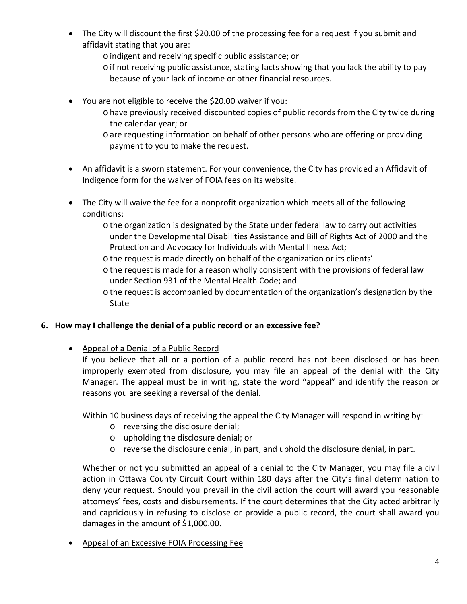- The City will discount the first \$20.00 of the processing fee for a request if you submit and affidavit stating that you are:
	- oindigent and receiving specific public assistance; or
	- oif not receiving public assistance, stating facts showing that you lack the ability to pay because of your lack of income or other financial resources.
- You are not eligible to receive the \$20.00 waiver if you:
	- ohave previously received discounted copies of public records from the City twice during the calendar year; or
	- oare requesting information on behalf of other persons who are offering or providing payment to you to make the request.
- An affidavit is a sworn statement. For your convenience, the City has provided an Affidavit of Indigence form for the waiver of FOIA fees on its website.
- The City will waive the fee for a nonprofit organization which meets all of the following conditions:
	- othe organization is designated by the State under federal law to carry out activities under the Developmental Disabilities Assistance and Bill of Rights Act of 2000 and the Protection and Advocacy for Individuals with Mental Illness Act;
	- o the request is made directly on behalf of the organization or its clients'
	- othe request is made for a reason wholly consistent with the provisions of federal law under Section 931 of the Mental Health Code; and
	- othe request is accompanied by documentation of the organization's designation by the **State**

# **6. How may I challenge the denial of a public record or an excessive fee?**

• Appeal of a Denial of a Public Record

If you believe that all or a portion of a public record has not been disclosed or has been improperly exempted from disclosure, you may file an appeal of the denial with the City Manager. The appeal must be in writing, state the word "appeal" and identify the reason or reasons you are seeking a reversal of the denial.

Within 10 business days of receiving the appeal the City Manager will respond in writing by:

- o reversing the disclosure denial;
- o upholding the disclosure denial; or
- o reverse the disclosure denial, in part, and uphold the disclosure denial, in part.

Whether or not you submitted an appeal of a denial to the City Manager, you may file a civil action in Ottawa County Circuit Court within 180 days after the City's final determination to deny your request. Should you prevail in the civil action the court will award you reasonable attorneys' fees, costs and disbursements. If the court determines that the City acted arbitrarily and capriciously in refusing to disclose or provide a public record, the court shall award you damages in the amount of \$1,000.00.

• Appeal of an Excessive FOIA Processing Fee